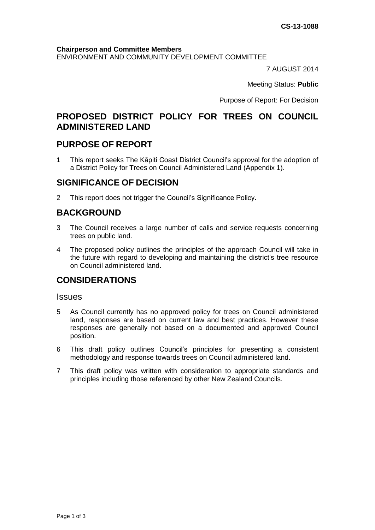#### **Chairperson and Committee Members**

ENVIRONMENT AND COMMUNITY DEVELOPMENT COMMITTEE

7 AUGUST 2014

Meeting Status: **Public**

Purpose of Report: For Decision

# **PROPOSED DISTRICT POLICY FOR TREES ON COUNCIL ADMINISTERED LAND**

### **PURPOSE OF REPORT**

1 This report seeks The Kāpiti Coast District Council's approval for the adoption of a District Policy for Trees on Council Administered Land (Appendix 1).

### **SIGNIFICANCE OF DECISION**

2 This report does not trigger the Council's Significance Policy.

# **BACKGROUND**

- 3 The Council receives a large number of calls and service requests concerning trees on public land.
- 4 The proposed policy outlines the principles of the approach Council will take in the future with regard to developing and maintaining the district's tree resource on Council administered land.

# **CONSIDERATIONS**

#### **Issues**

- 5 As Council currently has no approved policy for trees on Council administered land, responses are based on current law and best practices. However these responses are generally not based on a documented and approved Council position.
- 6 This draft policy outlines Council's principles for presenting a consistent methodology and response towards trees on Council administered land.
- 7 This draft policy was written with consideration to appropriate standards and principles including those referenced by other New Zealand Councils.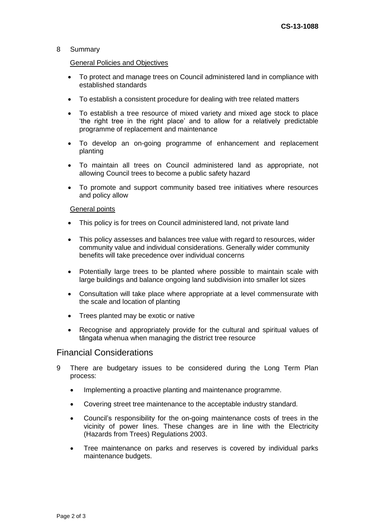#### 8 Summary

#### General Policies and Objectives

- To protect and manage trees on Council administered land in compliance with established standards
- To establish a consistent procedure for dealing with tree related matters
- To establish a tree resource of mixed variety and mixed age stock to place 'the right tree in the right place' and to allow for a relatively predictable programme of replacement and maintenance
- To develop an on-going programme of enhancement and replacement planting
- To maintain all trees on Council administered land as appropriate, not allowing Council trees to become a public safety hazard
- To promote and support community based tree initiatives where resources and policy allow

#### General points

- This policy is for trees on Council administered land, not private land
- This policy assesses and balances tree value with regard to resources, wider community value and individual considerations. Generally wider community benefits will take precedence over individual concerns
- Potentially large trees to be planted where possible to maintain scale with large buildings and balance ongoing land subdivision into smaller lot sizes
- Consultation will take place where appropriate at a level commensurate with the scale and location of planting
- Trees planted may be exotic or native
- Recognise and appropriately provide for the cultural and spiritual values of tāngata whenua when managing the district tree resource

### Financial Considerations

- 9 There are budgetary issues to be considered during the Long Term Plan process:
	- Implementing a proactive planting and maintenance programme.
	- Covering street tree maintenance to the acceptable industry standard.
	- Council's responsibility for the on-going maintenance costs of trees in the vicinity of power lines. These changes are in line with the Electricity (Hazards from Trees) Regulations 2003.
	- Tree maintenance on parks and reserves is covered by individual parks maintenance budgets.